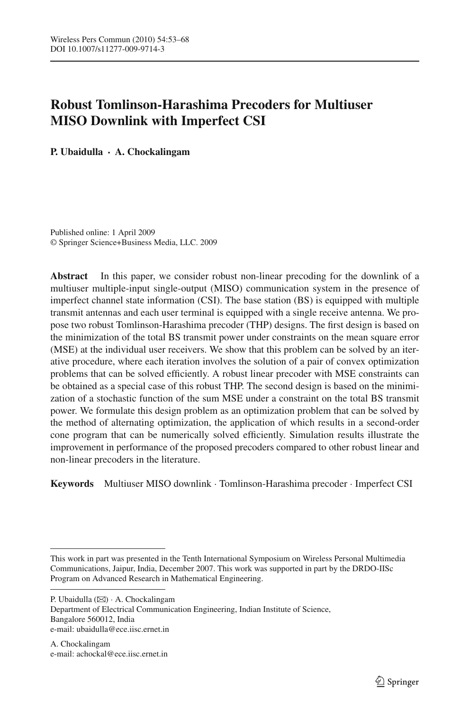# **Robust Tomlinson-Harashima Precoders for Multiuser MISO Downlink with Imperfect CSI**

**P. Ubaidulla · A. Chockalingam**

Published online: 1 April 2009 © Springer Science+Business Media, LLC. 2009

**Abstract** In this paper, we consider robust non-linear precoding for the downlink of a multiuser multiple-input single-output (MISO) communication system in the presence of imperfect channel state information (CSI). The base station (BS) is equipped with multiple transmit antennas and each user terminal is equipped with a single receive antenna. We propose two robust Tomlinson-Harashima precoder (THP) designs. The first design is based on the minimization of the total BS transmit power under constraints on the mean square error (MSE) at the individual user receivers. We show that this problem can be solved by an iterative procedure, where each iteration involves the solution of a pair of convex optimization problems that can be solved efficiently. A robust linear precoder with MSE constraints can be obtained as a special case of this robust THP. The second design is based on the minimization of a stochastic function of the sum MSE under a constraint on the total BS transmit power. We formulate this design problem as an optimization problem that can be solved by the method of alternating optimization, the application of which results in a second-order cone program that can be numerically solved efficiently. Simulation results illustrate the improvement in performance of the proposed precoders compared to other robust linear and non-linear precoders in the literature.

**Keywords** Multiuser MISO downlink · Tomlinson-Harashima precoder · Imperfect CSI

P. Ubaidulla (B) · A. Chockalingam

Department of Electrical Communication Engineering, Indian Institute of Science, Bangalore 560012, India e-mail: ubaidulla@ece.iisc.ernet.in

This work in part was presented in the Tenth International Symposium on Wireless Personal Multimedia Communications, Jaipur, India, December 2007. This work was supported in part by the DRDO-IISc Program on Advanced Research in Mathematical Engineering.

A. Chockalingam e-mail: achockal@ece.iisc.ernet.in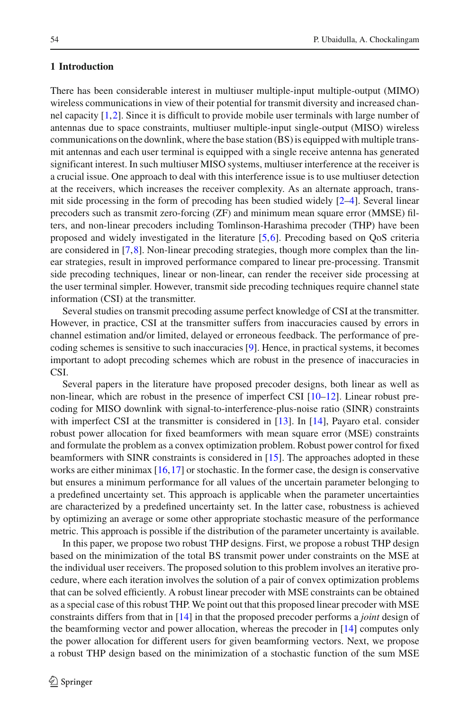### **1 Introduction**

There has been considerable interest in multiuser multiple-input multiple-output (MIMO) wireless communications in view of their potential for transmit diversity and increased channel capacity [\[1,](#page-13-0)[2](#page-13-1)]. Since it is difficult to provide mobile user terminals with large number of antennas due to space constraints, multiuser multiple-input single-output (MISO) wireless communications on the downlink, where the base station (BS) is equipped with multiple transmit antennas and each user terminal is equipped with a single receive antenna has generated significant interest. In such multiuser MISO systems, multiuser interference at the receiver is a crucial issue. One approach to deal with this interference issue is to use multiuser detection at the receivers, which increases the receiver complexity. As an alternate approach, transmit side processing in the form of precoding has been studied widely [\[2](#page-13-1)[–4](#page-13-2)]. Several linear precoders such as transmit zero-forcing (ZF) and minimum mean square error (MMSE) filters, and non-linear precoders including Tomlinson-Harashima precoder (THP) have been proposed and widely investigated in the literature [\[5](#page-13-3)[,6](#page-14-0)]. Precoding based on QoS criteria are considered in [\[7](#page-14-1)[,8\]](#page-14-2). Non-linear precoding strategies, though more complex than the linear strategies, result in improved performance compared to linear pre-processing. Transmit side precoding techniques, linear or non-linear, can render the receiver side processing at the user terminal simpler. However, transmit side precoding techniques require channel state information (CSI) at the transmitter.

Several studies on transmit precoding assume perfect knowledge of CSI at the transmitter. However, in practice, CSI at the transmitter suffers from inaccuracies caused by errors in channel estimation and/or limited, delayed or erroneous feedback. The performance of precoding schemes is sensitive to such inaccuracies [\[9\]](#page-14-3). Hence, in practical systems, it becomes important to adopt precoding schemes which are robust in the presence of inaccuracies in CSI.

Several papers in the literature have proposed precoder designs, both linear as well as non-linear, which are robust in the presence of imperfect CSI  $[10-12]$  $[10-12]$ . Linear robust precoding for MISO downlink with signal-to-interference-plus-noise ratio (SINR) constraints with imperfect CSI at the transmitter is considered in [\[13](#page-14-6)]. In [\[14\]](#page-14-7), Payaro et al. consider robust power allocation for fixed beamformers with mean square error (MSE) constraints and formulate the problem as a convex optimization problem. Robust power control for fixed beamformers with SINR constraints is considered in [\[15](#page-14-8)]. The approaches adopted in these works are either minimax  $[16, 17]$  $[16, 17]$  or stochastic. In the former case, the design is conservative but ensures a minimum performance for all values of the uncertain parameter belonging to a predefined uncertainty set. This approach is applicable when the parameter uncertainties are characterized by a predefined uncertainty set. In the latter case, robustness is achieved by optimizing an average or some other appropriate stochastic measure of the performance metric. This approach is possible if the distribution of the parameter uncertainty is available.

In this paper, we propose two robust THP designs. First, we propose a robust THP design based on the minimization of the total BS transmit power under constraints on the MSE at the individual user receivers. The proposed solution to this problem involves an iterative procedure, where each iteration involves the solution of a pair of convex optimization problems that can be solved efficiently. A robust linear precoder with MSE constraints can be obtained as a special case of this robust THP. We point out that this proposed linear precoder with MSE constraints differs from that in [\[14](#page-14-7)] in that the proposed precoder performs a *joint* design of the beamforming vector and power allocation, whereas the precoder in [\[14\]](#page-14-7) computes only the power allocation for different users for given beamforming vectors. Next, we propose a robust THP design based on the minimization of a stochastic function of the sum MSE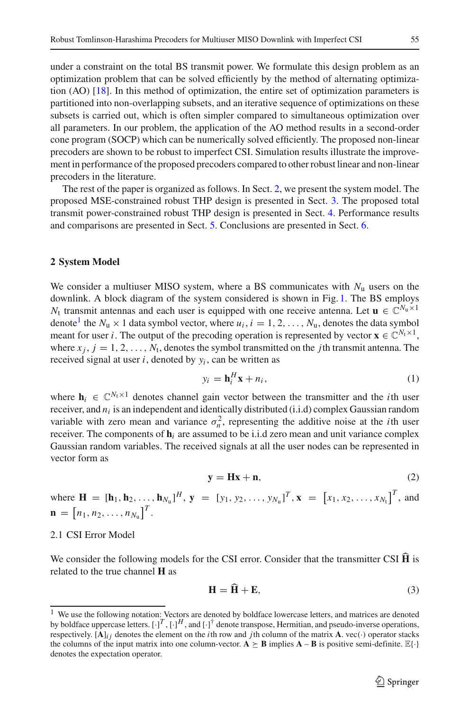under a constraint on the total BS transmit power. We formulate this design problem as an optimization problem that can be solved efficiently by the method of alternating optimization (AO) [\[18](#page-14-11)]. In this method of optimization, the entire set of optimization parameters is partitioned into non-overlapping subsets, and an iterative sequence of optimizations on these subsets is carried out, which is often simpler compared to simultaneous optimization over all parameters. In our problem, the application of the AO method results in a second-order cone program (SOCP) which can be numerically solved efficiently. The proposed non-linear precoders are shown to be robust to imperfect CSI. Simulation results illustrate the improvement in performance of the proposed precoders compared to other robust linear and non-linear precoders in the literature.

The rest of the paper is organized as follows. In Sect. [2,](#page-2-0) we present the system model. The proposed MSE-constrained robust THP design is presented in Sect. [3.](#page-4-0) The proposed total transmit power-constrained robust THP design is presented in Sect. [4.](#page-7-0) Performance results and comparisons are presented in Sect. [5.](#page-10-0) Conclusions are presented in Sect. [6.](#page-13-4)

#### <span id="page-2-0"></span>**2 System Model**

We consider a multiuser MISO system, where a BS communicates with  $N<sub>u</sub>$  users on the downlink. A block diagram of the system considered is shown in Fig. [1.](#page-3-0) The BS employs *N*<sub>t</sub> transmit antennas and each user is equipped with one receive antenna. Let  $\mathbf{u} \in \mathbb{C}^{N_{\mathbf{u}} \times 1}$ denote<sup>1</sup> the  $N_u \times 1$  data symbol vector, where  $u_i$ ,  $i = 1, 2, ..., N_u$ , denotes the data symbol meant for user *i*. The output of the precoding operation is represented by vector  $\mathbf{x} \in \mathbb{C}^{N_t \times 1}$ , where  $x_j$ ,  $j = 1, 2, \ldots, N_t$ , denotes the symbol transmitted on the *j*th transmit antenna. The received signal at user  $i$ , denoted by  $y_i$ , can be written as

$$
y_i = \mathbf{h}_i^H \mathbf{x} + n_i,\tag{1}
$$

where  $\mathbf{h}_i \in \mathbb{C}^{N_t \times 1}$  denotes channel gain vector between the transmitter and the *i*th user receiver, and *ni* is an independent and identically distributed (i.i.d) complex Gaussian random variable with zero mean and variance  $\sigma_n^2$ , representing the additive noise at the *i*th user receiver. The components of **h***<sup>i</sup>* are assumed to be i.i.d zero mean and unit variance complex Gaussian random variables. The received signals at all the user nodes can be represented in vector form as

$$
y = Hx + n,\tag{2}
$$

where  $\mathbf{H} = [\mathbf{h}_1, \mathbf{h}_2, \dots, \mathbf{h}_{N_u}]^H$ ,  $\mathbf{y} = [y_1, y_2, \dots, y_{N_u}]^T$ ,  $\mathbf{x} = [x_1, x_2, \dots, x_{N_t}]^T$ , and  $\mathbf{n} = [n_1, n_2, \dots, n_{N_u}]^T$ .

## 2.1 CSI Error Model

We consider the following models for the CSI error. Consider that the transmitter CSI  $\widehat{H}$  is related to the true channel **H** as

<span id="page-2-2"></span>
$$
\mathbf{H} = \widehat{\mathbf{H}} + \mathbf{E},\tag{3}
$$

<span id="page-2-1"></span><sup>1</sup> We use the following notation: Vectors are denoted by boldface lowercase letters, and matrices are denoted by boldface uppercase letters.  $[\cdot]^T$ ,  $[\cdot]^H$ , and  $[\cdot]^{\dagger}$  denote transpose, Hermitian, and pseudo-inverse operations, respectively.  $[A]_{ij}$  denotes the element on the *i*th row and *j*th column of the matrix **A**. vec(·) operator stacks the columns of the input matrix into one column-vector.  $\mathbf{A} \geq \mathbf{B}$  implies  $\mathbf{A} - \mathbf{B}$  is positive semi-definite.  $\mathbb{E}\{\cdot\}$ denotes the expectation operator.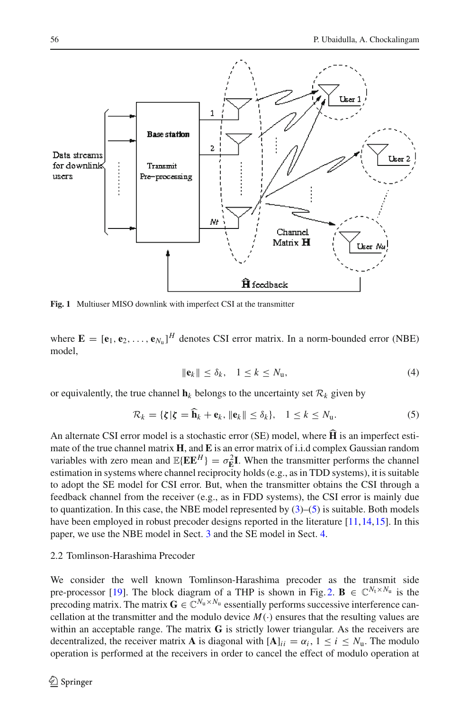

<span id="page-3-0"></span>**Fig. 1** Multiuser MISO downlink with imperfect CSI at the transmitter

where  $\mathbf{E} = [\mathbf{e}_1, \mathbf{e}_2, \dots, \mathbf{e}_{N_\text{u}}]^H$  denotes CSI error matrix. In a norm-bounded error (NBE) model,

$$
\|\mathbf{e}_k\| \le \delta_k, \quad 1 \le k \le N_\mathbf{u},\tag{4}
$$

<span id="page-3-1"></span>or equivalently, the true channel  $h_k$  belongs to the uncertainty set  $\mathcal{R}_k$  given by

$$
\mathcal{R}_k = \{ \zeta | \zeta = \widehat{\mathbf{h}}_k + \mathbf{e}_k, \|\mathbf{e}_k\| \le \delta_k \}, \quad 1 \le k \le N_\mathrm{u}.
$$

An alternate CSI error model is a stochastic error (SE) model, where **<sup>H</sup>** is an imperfect estimate of the true channel matrix **H**, and **E** is an error matrix of i.i.d complex Gaussian random variables with zero mean and  $\mathbb{E}\{\mathbf{EE}^H\} = \sigma_{\mathbf{E}}^2 \mathbf{I}$ . When the transmitter performs the channel estimation in systems where channel reciprocity holds (e.g., as in TDD systems), it is suitable to adopt the SE model for CSI error. But, when the transmitter obtains the CSI through a feedback channel from the receiver (e.g., as in FDD systems), the CSI error is mainly due to quantization. In this case, the NBE model represented by  $(3)$ – $(5)$  is suitable. Both models have been employed in robust precoder designs reported in the literature [\[11](#page-14-12), 14, [15](#page-14-8)]. In this paper, we use the NBE model in Sect. [3](#page-4-0) and the SE model in Sect. [4.](#page-7-0)

## 2.2 Tomlinson-Harashima Precoder

We consider the well known Tomlinson-Harashima precoder as the transmit side pre-processor [\[19\]](#page-14-13). The block diagram of a THP is shown in Fig. [2.](#page-4-1) **B**  $\in \mathbb{C}^{N_t \times N_u}$  is the precoding matrix. The matrix  $\mathbf{G} \in \mathbb{C}^{N_u \times N_u}$  essentially performs successive interference cancellation at the transmitter and the modulo device  $M(\cdot)$  ensures that the resulting values are within an acceptable range. The matrix **G** is strictly lower triangular. As the receivers are decentralized, the receiver matrix **A** is diagonal with  $[A]_{ii} = \alpha_i$ ,  $1 \le i \le N_u$ . The modulo operation is performed at the receivers in order to cancel the effect of modulo operation at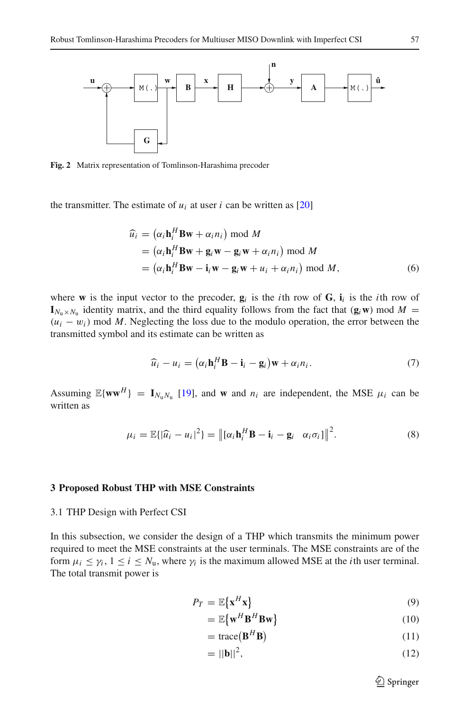

<span id="page-4-1"></span>**Fig. 2** Matrix representation of Tomlinson-Harashima precoder

the transmitter. The estimate of  $u_i$  at user *i* can be written as [\[20](#page-14-14)]

$$
\widehat{u}_i = (\alpha_i \mathbf{h}_i^H \mathbf{B} \mathbf{w} + \alpha_i n_i) \bmod M \n= (\alpha_i \mathbf{h}_i^H \mathbf{B} \mathbf{w} + \mathbf{g}_i \mathbf{w} - \mathbf{g}_i \mathbf{w} + \alpha_i n_i) \bmod M \n= (\alpha_i \mathbf{h}_i^H \mathbf{B} \mathbf{w} - \mathbf{i}_i \mathbf{w} - \mathbf{g}_i \mathbf{w} + u_i + \alpha_i n_i) \bmod M,
$$
\n(6)

where **w** is the input vector to the precoder,  $\mathbf{g}_i$  is the *i*th row of  $\mathbf{G}$ ,  $\mathbf{i}_i$  is the *i*th row of  $\mathbf{I}_{N_{\text{u}} \times N_{\text{u}}}$  identity matrix, and the third equality follows from the fact that ( $\mathbf{g}_i \mathbf{w}$ ) mod  $M =$  $(u_i - w_i)$  mod *M*. Neglecting the loss due to the modulo operation, the error between the transmitted symbol and its estimate can be written as

$$
\widehat{u}_i - u_i = (\alpha_i \mathbf{h}_i^H \mathbf{B} - \mathbf{i}_i - \mathbf{g}_i) \mathbf{w} + \alpha_i n_i.
$$
 (7)

<span id="page-4-2"></span>Assuming  $\mathbb{E}\{\mathbf{w}\mathbf{w}^H\} = \mathbf{I}_{N_n,N_n}$  [\[19](#page-14-13)], and **w** and  $n_i$  are independent, the MSE  $\mu_i$  can be written as

$$
\mu_i = \mathbb{E}\{\left|\widehat{u}_i - u_i\right|^2\} = \left\| \left[\alpha_i \mathbf{h}_i^H \mathbf{B} - \mathbf{i}_i - \mathbf{g}_i \ \alpha_i \sigma_i \right] \right\|^2. \tag{8}
$$

#### <span id="page-4-0"></span>**3 Proposed Robust THP with MSE Constraints**

## 3.1 THP Design with Perfect CSI

In this subsection, we consider the design of a THP which transmits the minimum power required to meet the MSE constraints at the user terminals. The MSE constraints are of the form  $\mu_i \leq \gamma_i$ ,  $1 \leq i \leq N_u$ , where  $\gamma_i$  is the maximum allowed MSE at the *i*th user terminal. The total transmit power is

$$
P_T = \mathbb{E}\{\mathbf{x}^H\mathbf{x}\}\tag{9}
$$

$$
= \mathbb{E}\{\mathbf{w}^H \mathbf{B}^H \mathbf{B} \mathbf{w}\}\tag{10}
$$

$$
= \text{trace}(\mathbf{B}^H \mathbf{B}) \tag{11}
$$

$$
= ||\mathbf{b}||^2,\tag{12}
$$

 $\hat{\mathfrak{D}}$  Springer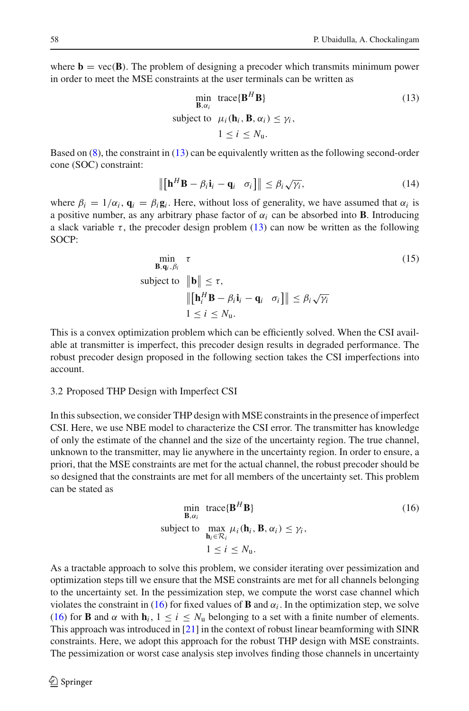where  $\mathbf{b} = \text{vec}(\mathbf{B})$ . The problem of designing a precoder which transmits minimum power in order to meet the MSE constraints at the user terminals can be written as

<span id="page-5-0"></span>
$$
\min_{\mathbf{B}, \alpha_i} \text{trace} \{ \mathbf{B}^H \mathbf{B} \} \tag{13}
$$
\n
$$
\text{subject to } \mu_i(\mathbf{h}_i, \mathbf{B}, \alpha_i) \le \gamma_i,
$$
\n
$$
1 \le i \le N_u.
$$

Based on [\(8\)](#page-4-2), the constraint in [\(13\)](#page-5-0) can be equivalently written as the following second-order cone (SOC) constraint:

$$
\left\| \left[ \mathbf{h}^H \mathbf{B} - \beta_i \mathbf{i}_i - \mathbf{q}_i \quad \sigma_i \right] \right\| \leq \beta_i \sqrt{\gamma_i},\tag{14}
$$

<span id="page-5-2"></span>where  $\beta_i = 1/\alpha_i$ ,  $\mathbf{q}_i = \beta_i \mathbf{g}_i$ . Here, without loss of generality, we have assumed that  $\alpha_i$  is a positive number, as any arbitrary phase factor of  $\alpha_i$  can be absorbed into **B**. Introducing a slack variable  $\tau$ , the precoder design problem [\(13\)](#page-5-0) can now be written as the following SOCP:

$$
\min_{\mathbf{B}, \mathbf{q}_i, \beta_i} \tau
$$
\nsubject to

\n
$$
\|\mathbf{b}\| \leq \tau,
$$
\n
$$
\|[\mathbf{h}_i^H \mathbf{B} - \beta_i \mathbf{i}_i - \mathbf{q}_i \quad \sigma_i]\| \leq \beta_i \sqrt{\gamma_i}
$$
\n
$$
1 \leq i \leq N_u.
$$
\n(15)

This is a convex optimization problem which can be efficiently solved. When the CSI available at transmitter is imperfect, this precoder design results in degraded performance. The robust precoder design proposed in the following section takes the CSI imperfections into account.

## 3.2 Proposed THP Design with Imperfect CSI

In this subsection, we consider THP design with MSE constraints in the presence of imperfect CSI. Here, we use NBE model to characterize the CSI error. The transmitter has knowledge of only the estimate of the channel and the size of the uncertainty region. The true channel, unknown to the transmitter, may lie anywhere in the uncertainty region. In order to ensure, a priori, that the MSE constraints are met for the actual channel, the robust precoder should be so designed that the constraints are met for all members of the uncertainty set. This problem can be stated as

<span id="page-5-1"></span>
$$
\min_{\mathbf{B}, \alpha_i} \text{trace} \{ \mathbf{B}^H \mathbf{B} \} \tag{16}
$$
\n
$$
\text{subject to } \max_{\mathbf{h}_i \in \mathcal{R}_i} \mu_i(\mathbf{h}_i, \mathbf{B}, \alpha_i) \le \gamma_i,
$$
\n
$$
1 \le i \le N_u.
$$

As a tractable approach to solve this problem, we consider iterating over pessimization and optimization steps till we ensure that the MSE constraints are met for all channels belonging to the uncertainty set. In the pessimization step, we compute the worst case channel which violates the constraint in [\(16\)](#page-5-1) for fixed values of **B** and  $\alpha_i$ . In the optimization step, we solve [\(16\)](#page-5-1) for **B** and  $\alpha$  with  $\mathbf{h}_i$ ,  $1 \le i \le N_u$  belonging to a set with a finite number of elements. This approach was introduced in [\[21](#page-14-15)] in the context of robust linear beamforming with SINR constraints. Here, we adopt this approach for the robust THP design with MSE constraints. The pessimization or worst case analysis step involves finding those channels in uncertainty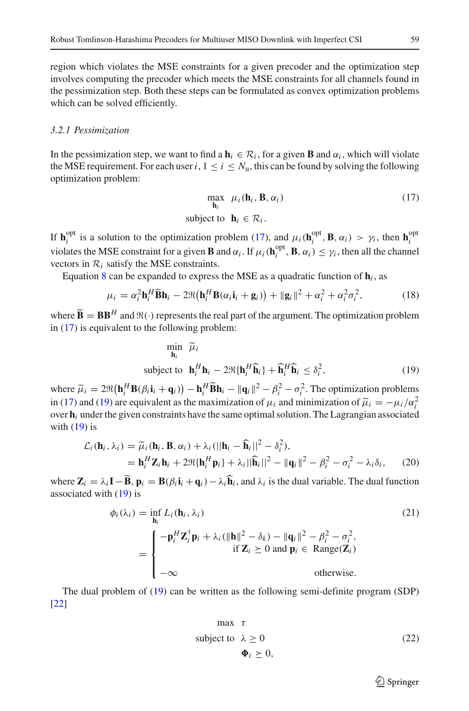region which violates the MSE constraints for a given precoder and the optimization step involves computing the precoder which meets the MSE constraints for all channels found in the pessimization step. Both these steps can be formulated as convex optimization problems which can be solved efficiently.

#### *3.2.1 Pessimization*

In the pessimization step, we want to find a  $\mathbf{h}_i \in \mathcal{R}_i$ , for a given **B** and  $\alpha_i$ , which will violate the MSE requirement. For each user  $i, 1 \le i \le N_u$ , this can be found by solving the following optimization problem:

$$
\max_{\mathbf{h}_i} \ \mu_i(\mathbf{h}_i, \mathbf{B}, \alpha_i) \tag{17}
$$

<span id="page-6-0"></span>subject to 
$$
\mathbf{h}_i \in \mathcal{R}_i
$$
.

If  $\mathbf{h}_i^{\text{opt}}$  is a solution to the optimization problem [\(17\)](#page-6-0), and  $\mu_i(\mathbf{h}_i^{\text{opt}}, \mathbf{B}, \alpha_i) > \gamma_i$ , then  $\mathbf{h}_i^{\text{opt}}$ violates the MSE constraint for a given **B** and  $\alpha_i$ . If  $\mu_i(\mathbf{h}_i^{\text{opt}}, \mathbf{B}, \alpha_i) \leq \gamma_i$ , then all the channel vectors in  $\mathcal{R}_i$  satisfy the MSE constraints.

Equation [8](#page-4-2) can be expanded to express the MSE as a quadratic function of  $\mathbf{h}_i$ , as

$$
\mu_i = \alpha_i^2 \mathbf{h}_i^H \widetilde{\mathbf{B}} \mathbf{h}_i - 2 \Re \left( \mathbf{h}_i^H \mathbf{B} (\alpha_i \mathbf{i}_i + \mathbf{g}_i) \right) + ||\mathbf{g}_i||^2 + \alpha_i^2 + \alpha_i^2 \sigma_i^2, \tag{18}
$$

<span id="page-6-1"></span>where  $\mathbf{\tilde{B}} = \mathbf{B}\mathbf{B}^H$  and  $\Re(\cdot)$  represents the real part of the argument. The optimization problem in [\(17\)](#page-6-0) is equivalent to the following problem:

$$
\min_{\mathbf{h}_i} \ \widetilde{\mu}_i
$$
\nsubject to 
$$
\mathbf{h}_i^H \mathbf{h}_i - 2 \Re{\{\mathbf{h}_i^H \widehat{\mathbf{h}}_i\}} + \widehat{\mathbf{h}}_i^H \widehat{\mathbf{h}}_i \le \delta_i^2,
$$
\n(19)

where  $\tilde{\mu}_i = 2\Re(\mathbf{h}_i^H \mathbf{B}(\beta_i \mathbf{i}_i + \mathbf{q}_i)) - \mathbf{h}_i^H \widetilde{\mathbf{B}} \mathbf{h}_i - ||\mathbf{q}_i||^2 - \beta_i^2 - \sigma_i^2$ . The optimization problems in [\(17\)](#page-6-0) and [\(19\)](#page-6-1) are equivalent as the maximization of  $\mu_i$  and minimization of  $\tilde{\mu}_i = -\mu_i/\alpha_i^2$ <br>over **h**, under the given constraints have the same optimal solution. The Lagrangian associated over **h***<sup>i</sup>* under the given constraints have the same optimal solution. The Lagrangian associated with  $(19)$  is

$$
\mathcal{L}_i(\mathbf{h}_i, \lambda_i) = \widetilde{\mu}_i(\mathbf{h}_i, \mathbf{B}, \alpha_i) + \lambda_i (||\mathbf{h}_i - \widehat{\mathbf{h}}_i||^2 - \delta_i^2),
$$
  
=  $\mathbf{h}_i^H \mathbf{Z}_i \mathbf{h}_i + 2 \Re{\{\mathbf{h}_i^H \mathbf{p}_i\}} + \lambda_i ||\widehat{\mathbf{h}}_i||^2 - ||\mathbf{q}_i||^2 - \beta_i^2 - \sigma_i^2 - \lambda_i \delta_i,$  (20)

where  $\mathbf{Z}_i = \lambda_i \mathbf{I} - \mathbf{B}$ ,  $\mathbf{p}_i = \mathbf{B}(\beta_i \mathbf{i}_i + \mathbf{q}_i) - \lambda_i \mathbf{h}_i$ , and  $\lambda_i$  is the dual variable. The dual function associated with [\(19\)](#page-6-1) is

$$
\phi_i(\lambda_i) = \inf_{\mathbf{h}_i} L_i(\mathbf{h}_i, \lambda_i)
$$
\n
$$
= \begin{cases}\n-\mathbf{p}_i^H \mathbf{Z}_i^{\dagger} \mathbf{p}_i + \lambda_i (\|\mathbf{h}\|^2 - \delta_k) - \|\mathbf{q}_i\|^2 - \beta_i^2 - \sigma_i^2, \\
\qquad \qquad \text{if } \mathbf{Z}_i \succeq 0 \text{ and } \mathbf{p}_i \in \text{Range}(\mathbf{Z}_i) \\
-\infty\n\end{cases}
$$
\n(21)

The dual problem of [\(19\)](#page-6-1) can be written as the following semi-definite program (SDP) [\[22\]](#page-14-16)

<span id="page-6-2"></span>max 
$$
\tau
$$
  
subject to  $\lambda \ge 0$   
 $\Phi_i \ge 0$ , (22)

 $\circled{2}$  Springer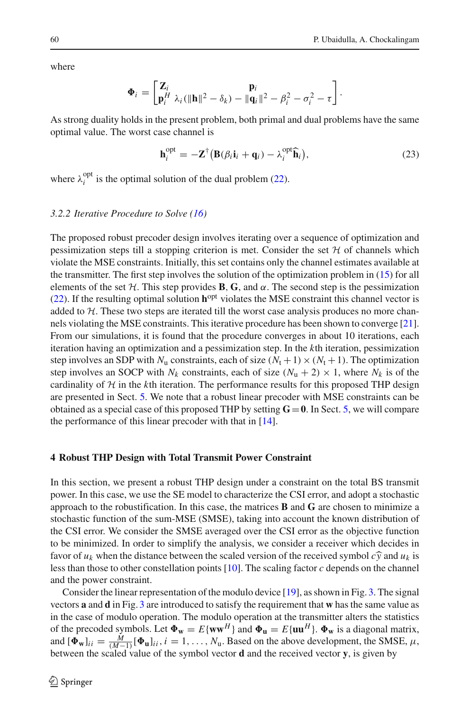where

$$
\Phi_i = \begin{bmatrix} \mathbf{Z}_i & \mathbf{p}_i \\ \mathbf{p}_i^H \lambda_i (\|\mathbf{h}\|^2 - \delta_k) - \|\mathbf{q}_i\|^2 - \beta_i^2 - \sigma_i^2 - \tau \end{bmatrix}.
$$

As strong duality holds in the present problem, both primal and dual problems have the same optimal value. The worst case channel is

$$
\mathbf{h}_i^{\text{opt}} = -\mathbf{Z}^\dagger \big( \mathbf{B}(\beta_i \mathbf{i}_i + \mathbf{q}_i) - \lambda_i^{\text{opt}} \mathbf{\hat{h}}_i \big),\tag{23}
$$

where  $\lambda_i^{\text{opt}}$  is the optimal solution of the dual problem [\(22\)](#page-6-2).

#### *3.2.2 Iterative Procedure to Solve [\(16\)](#page-5-1)*

The proposed robust precoder design involves iterating over a sequence of optimization and pessimization steps till a stopping criterion is met. Consider the set  $H$  of channels which violate the MSE constraints. Initially, this set contains only the channel estimates available at the transmitter. The first step involves the solution of the optimization problem in [\(15\)](#page-5-2) for all elements of the set  $H$ . This step provides **B**, **G**, and  $\alpha$ . The second step is the pessimization [\(22\)](#page-6-2). If the resulting optimal solution **h**opt violates the MSE constraint this channel vector is added to *H*. These two steps are iterated till the worst case analysis produces no more channels violating the MSE constraints. This iterative procedure has been shown to converge [\[21\]](#page-14-15). From our simulations, it is found that the procedure converges in about 10 iterations, each iteration having an optimization and a pessimization step. In the *k*th iteration, pessimization step involves an SDP with  $N_u$  constraints, each of size  $(N_t + 1) \times (N_t + 1)$ . The optimization step involves an SOCP with  $N_k$  constraints, each of size  $(N_u + 2) \times 1$ , where  $N_k$  is of the cardinality of  $H$  in the  $k$ th iteration. The performance results for this proposed THP design are presented in Sect. [5.](#page-10-0) We note that a robust linear precoder with MSE constraints can be obtained as a special case of this proposed THP by setting  $G = 0$ . In Sect. [5,](#page-10-0) we will compare the performance of this linear precoder with that in  $[14]$  $[14]$ .

#### <span id="page-7-0"></span>**4 Robust THP Design with Total Transmit Power Constraint**

In this section, we present a robust THP design under a constraint on the total BS transmit power. In this case, we use the SE model to characterize the CSI error, and adopt a stochastic approach to the robustification. In this case, the matrices **B** and **G** are chosen to minimize a stochastic function of the sum-MSE (SMSE), taking into account the known distribution of the CSI error. We consider the SMSE averaged over the CSI error as the objective function to be minimized. In order to simplify the analysis, we consider a receiver which decides in favor of  $u_k$  when the distance between the scaled version of the received symbol  $c\hat{y}$  and  $u_k$  is less than those to other constellation points [\[10](#page-14-4)]. The scaling factor *c* depends on the channel and the power constraint.

Consider the linear representation of the modulo device [\[19\]](#page-14-13), as shown in Fig. [3.](#page-8-0) The signal vectors **a** and **d** in Fig. [3](#page-8-0) are introduced to satisfy the requirement that **w** has the same value as in the case of modulo operation. The modulo operation at the transmitter alters the statistics of the precoded symbols. Let  $\Phi_w = E\{ww^H\}$  and  $\Phi_u = E\{uu^H\}$ .  $\Phi_w$  is a diagonal matrix, and  $[\Phi_{\bf w}]_{ii} = \frac{M}{(M-1)}[\Phi_{\bf u}]_{ii}$ ,  $i = 1, ..., N_{\bf u}$ . Based on the above development, the SMSE,  $\mu$ , between the scaled value of the symbol vector **d** and the received vector **y**, is given by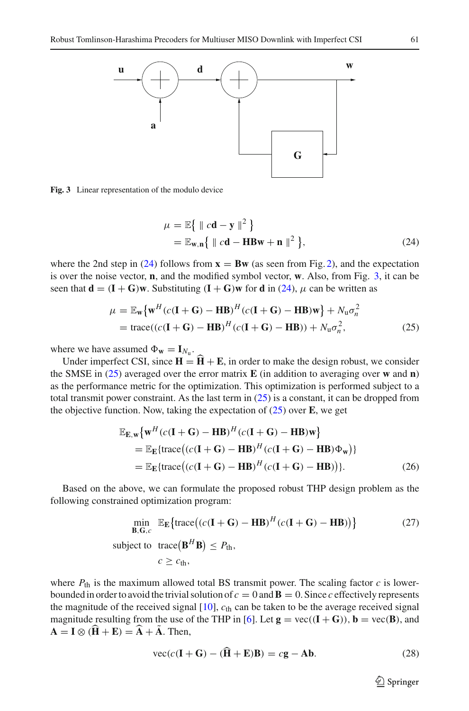

<span id="page-8-1"></span><span id="page-8-0"></span>**Fig. 3** Linear representation of the modulo device

$$
\mu = \mathbb{E}\left\{ \parallel c\mathbf{d} - \mathbf{y} \parallel^2 \right\}
$$
  
=  $\mathbb{E}_{\mathbf{w},\mathbf{n}} \left\{ \parallel c\mathbf{d} - \mathbf{H}\mathbf{B}\mathbf{w} + \mathbf{n} \parallel^2 \right\},$  (24)

where the 2nd step in [\(24\)](#page-8-1) follows from  $\mathbf{x} = \mathbf{B}\mathbf{w}$  (as seen from Fig. [2\)](#page-4-1), and the expectation is over the noise vector, **n**, and the modified symbol vector, **w**. Also, from Fig. [3,](#page-8-0) it can be seen that  $\mathbf{d} = (\mathbf{I} + \mathbf{G})\mathbf{w}$ . Substituting  $(\mathbf{I} + \mathbf{G})\mathbf{w}$  for **d** in [\(24\)](#page-8-1),  $\mu$  can be written as

$$
\mu = \mathbb{E}_{\mathbf{w}} \{ \mathbf{w}^H (c(\mathbf{I} + \mathbf{G}) - \mathbf{H} \mathbf{B})^H (c(\mathbf{I} + \mathbf{G}) - \mathbf{H} \mathbf{B}) \mathbf{w} \} + N_u \sigma_n^2
$$
  
= trace((c(\mathbf{I} + \mathbf{G}) - \mathbf{H} \mathbf{B})^H (c(\mathbf{I} + \mathbf{G}) - \mathbf{H} \mathbf{B})) + N\_u \sigma\_n^2, (25)

<span id="page-8-2"></span>where we have assumed  $\Phi_{\mathbf{w}} = \mathbf{I}_{N_{\mathbf{u}}}$ .

Under imperfect CSI, since  $H = \hat{H} + E$ , in order to make the design robust, we consider the SMSE in [\(25\)](#page-8-2) averaged over the error matrix **E** (in addition to averaging over **w** and **n**) as the performance metric for the optimization. This optimization is performed subject to a total transmit power constraint. As the last term in  $(25)$  is a constant, it can be dropped from the objective function. Now, taking the expectation of [\(25\)](#page-8-2) over **E**, we get

$$
\mathbb{E}_{\mathbf{E},\mathbf{w}}\{\mathbf{w}^H(c(\mathbf{I}+\mathbf{G})-\mathbf{H}\mathbf{B})^H(c(\mathbf{I}+\mathbf{G})-\mathbf{H}\mathbf{B})\mathbf{w}\}\
$$
\n
$$
=\mathbb{E}_{\mathbf{E}}\{\text{trace}((c(\mathbf{I}+\mathbf{G})-\mathbf{H}\mathbf{B})^H(c(\mathbf{I}+\mathbf{G})-\mathbf{H}\mathbf{B})\Phi_{\mathbf{w}})\}\
$$
\n
$$
=\mathbb{E}_{\mathbf{E}}\{\text{trace}((c(\mathbf{I}+\mathbf{G})-\mathbf{H}\mathbf{B})^H(c(\mathbf{I}+\mathbf{G})-\mathbf{H}\mathbf{B}))\}. \tag{26}
$$

<span id="page-8-5"></span><span id="page-8-4"></span>Based on the above, we can formulate the proposed robust THP design problem as the following constrained optimization program:

$$
\min_{\mathbf{B}, \mathbf{G}, c} \mathbb{E}_{\mathbf{E}} \{ \text{trace} \big( (c(\mathbf{I} + \mathbf{G}) - \mathbf{H}\mathbf{B})^H (c(\mathbf{I} + \mathbf{G}) - \mathbf{H}\mathbf{B}) \big) \} \tag{27}
$$
\n
$$
\text{subject to } \text{trace} \big( \mathbf{B}^H \mathbf{B} \big) \le P_{\text{th}},
$$
\n
$$
c \ge c_{\text{th}},
$$

<span id="page-8-3"></span>where  $P_{\text{th}}$  is the maximum allowed total BS transmit power. The scaling factor  $c$  is lowerbounded in order to avoid the trivial solution of  $c = 0$  and  $\mathbf{B} = 0$ . Since *c* effectively represents the magnitude of the received signal  $[10]$  $[10]$ ,  $c<sub>th</sub>$  can be taken to be the average received signal magnitude resulting from the use of the THP in [\[6\]](#page-14-0). Let  $\mathbf{g} = \text{vec}((\mathbf{I} + \mathbf{G}))$ ,  $\mathbf{b} = \text{vec}(\mathbf{B})$ , and  $\mathbf{A} = \mathbf{I} \otimes (\widehat{\mathbf{H}} + \mathbf{E}) = \widehat{\mathbf{A}} + \widetilde{\mathbf{A}}$ . Then,

$$
\text{vec}(c(\mathbf{I} + \mathbf{G}) - (\widehat{\mathbf{H}} + \mathbf{E})\mathbf{B}) = c\mathbf{g} - \mathbf{A}\mathbf{b}.\tag{28}
$$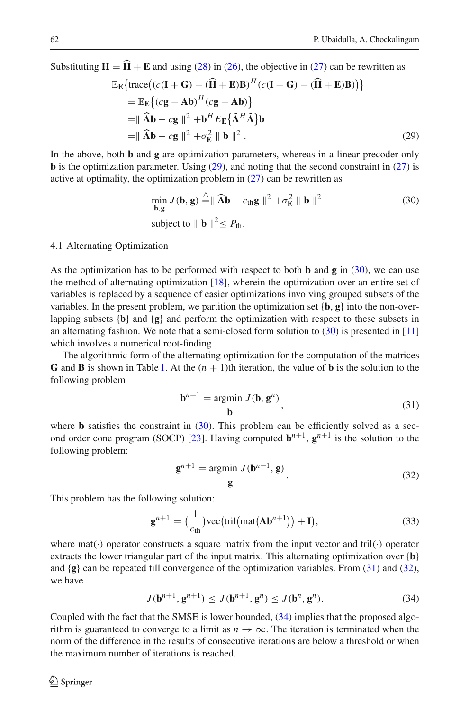<span id="page-9-0"></span>Substituting  $H = \hat{H} + E$  and using [\(28\)](#page-8-3) in [\(26\)](#page-8-4), the objective in [\(27\)](#page-8-5) can be rewritten as

$$
\mathbb{E}_{\mathbf{E}}\{\text{trace}((c(\mathbf{I} + \mathbf{G}) - (\widehat{\mathbf{H}} + \mathbf{E})\mathbf{B})^{H}(c(\mathbf{I} + \mathbf{G}) - (\widehat{\mathbf{H}} + \mathbf{E})\mathbf{B}))\}
$$
\n
$$
= \mathbb{E}_{\mathbf{E}}\{ (c\mathbf{g} - \mathbf{A}\mathbf{b})^{H} (c\mathbf{g} - \mathbf{A}\mathbf{b}) \}
$$
\n
$$
= || \widehat{\mathbf{A}}\mathbf{b} - c\mathbf{g} ||^{2} + \mathbf{b}^{H} E_{\mathbf{E}}\{\widetilde{\mathbf{A}}^{H}\widetilde{\mathbf{A}}\}\mathbf{b}
$$
\n
$$
= || \widehat{\mathbf{A}}\mathbf{b} - c\mathbf{g} ||^{2} + \sigma_{\mathbf{E}}^{2} || \mathbf{b} ||^{2}. \tag{29}
$$

<span id="page-9-1"></span>In the above, both **b** and **g** are optimization parameters, whereas in a linear precoder only **b** is the optimization parameter. Using [\(29\)](#page-9-0), and noting that the second constraint in [\(27\)](#page-8-5) is active at optimality, the optimization problem in  $(27)$  can be rewritten as

$$
\min_{\mathbf{b}, \mathbf{g}} J(\mathbf{b}, \mathbf{g}) \stackrel{\Delta}{=} || \widehat{\mathbf{A}} \mathbf{b} - c_{\mathbf{th}} \mathbf{g} ||^2 + \sigma_{\mathbf{E}}^2 || \mathbf{b} ||^2
$$
\n(30)

\nsubject to  $|| \mathbf{b} ||^2 \leq P_{\mathbf{th}}$ .

#### 4.1 Alternating Optimization

As the optimization has to be performed with respect to both **b** and **g** in [\(30\)](#page-9-1), we can use the method of alternating optimization [\[18\]](#page-14-11), wherein the optimization over an entire set of variables is replaced by a sequence of easier optimizations involving grouped subsets of the variables. In the present problem, we partition the optimization set  ${\bf b}, {\bf g}$  into the non-overlapping subsets {**b**} and {**g**} and perform the optimization with respect to these subsets in an alternating fashion. We note that a semi-closed form solution to [\(30\)](#page-9-1) is presented in [\[11\]](#page-14-12) which involves a numerical root-finding.

The algorithmic form of the alternating optimization for the computation of the matrices **G** and **B** is shown in Table [1.](#page-10-1) At the  $(n + 1)$ th iteration, the value of **b** is the solution to the following problem

$$
\mathbf{b}^{n+1} = \operatorname*{argmin}_{\mathbf{b}} J(\mathbf{b}, \mathbf{g}^n),
$$
 (31)

<span id="page-9-2"></span>where **b** satisfies the constraint in  $(30)$ . This problem can be efficiently solved as a sec-ond order cone program (SOCP) [\[23\]](#page-14-17). Having computed  $\mathbf{b}^{n+1}$ ,  $\mathbf{g}^{n+1}$  is the solution to the following problem:

$$
\mathbf{g}^{n+1} = \operatorname{argmin} J(\mathbf{b}^{n+1}, \mathbf{g})
$$
\n
$$
\mathbf{g}
$$
\n(32)

<span id="page-9-5"></span><span id="page-9-3"></span>This problem has the following solution:

$$
\mathbf{g}^{n+1} = \left(\frac{1}{c_{\text{th}}}\right) \text{vec}\left(\text{tril}\left(\text{mat}\left(\mathbf{A}\mathbf{b}^{n+1}\right)\right) + \mathbf{I}\right),\tag{33}
$$

where mat( $\cdot$ ) operator constructs a square matrix from the input vector and tril( $\cdot$ ) operator extracts the lower triangular part of the input matrix. This alternating optimization over {**b**} and {**g**} can be repeated till convergence of the optimization variables. From [\(31\)](#page-9-2) and [\(32\)](#page-9-3), we have

$$
J(\mathbf{b}^{n+1}, \mathbf{g}^{n+1}) \le J(\mathbf{b}^{n+1}, \mathbf{g}^n) \le J(\mathbf{b}^n, \mathbf{g}^n). \tag{34}
$$

<span id="page-9-4"></span>Coupled with the fact that the SMSE is lower bounded, [\(34\)](#page-9-4) implies that the proposed algorithm is guaranteed to converge to a limit as  $n \to \infty$ . The iteration is terminated when the norm of the difference in the results of consecutive iterations are below a threshold or when the maximum number of iterations is reached.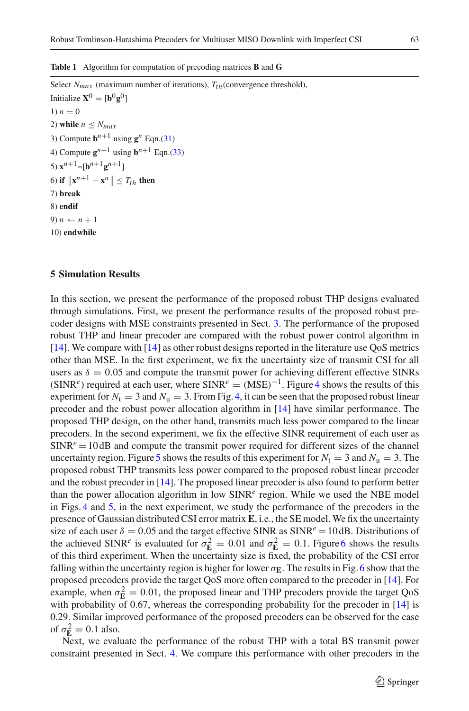#### **Table 1** Algorithm for computation of precoding matrices **B** and **G**

<span id="page-10-1"></span>Select  $N_{max}$  (maximum number of iterations),  $T_{th}$  (convergence threshold), Initialize  $X^0 = [b^0 g^0]$ 1)  $n = 0$ 2) **while**  $n \leq N_{max}$ 3) Compute  $\mathbf{b}^{n+1}$  using  $\mathbf{g}^n$  Eqn.[\(31\)](#page-9-2) 4) Compute  $\mathbf{g}^{n+1}$  using  $\mathbf{b}^{n+1}$  Eqn.[\(33\)](#page-9-5) 5)  $\mathbf{x}^{n+1} = [\mathbf{b}^{n+1} \mathbf{g}^{n+1}]$ 6) **if**  $\|\mathbf{x}^{n+1} - \mathbf{x}^{n}\| \le T_{th}$  **then** 7) **break** 8) **endif** 9)  $n \leftarrow n + 1$ 

10) **endwhile**

#### <span id="page-10-0"></span>**5 Simulation Results**

In this section, we present the performance of the proposed robust THP designs evaluated through simulations. First, we present the performance results of the proposed robust precoder designs with MSE constraints presented in Sect. [3.](#page-4-0) The performance of the proposed robust THP and linear precoder are compared with the robust power control algorithm in [\[14\]](#page-14-7). We compare with [\[14](#page-14-7)] as other robust designs reported in the literature use QoS metrics other than MSE. In the first experiment, we fix the uncertainty size of transmit CSI for all users as  $\delta = 0.05$  and compute the transmit power for achieving different effective SINRs (SINR<sup>e</sup>) required at each user, where  $SINR^e = (MSE)^{-1}$ . Figure [4](#page-11-0) shows the results of this experiment for  $N_t = 3$  and  $N_u = 3$ . From Fig. [4,](#page-11-0) it can be seen that the proposed robust linear precoder and the robust power allocation algorithm in [\[14\]](#page-14-7) have similar performance. The proposed THP design, on the other hand, transmits much less power compared to the linear precoders. In the second experiment, we fix the effective SINR requirement of each user as  $SINR<sup>e</sup> = 10 dB$  and compute the transmit power required for different sizes of the channel uncertainty region. Figure [5](#page-11-1) shows the results of this experiment for  $N_t = 3$  and  $N_u = 3$ . The proposed robust THP transmits less power compared to the proposed robust linear precoder and the robust precoder in [\[14](#page-14-7)]. The proposed linear precoder is also found to perform better than the power allocation algorithm in low SINR*<sup>e</sup>* region. While we used the NBE model in Figs. [4](#page-11-0) and [5,](#page-11-1) in the next experiment, we study the performance of the precoders in the presence of Gaussian distributed CSI error matrix **E**, i.e., the SE model. We fix the uncertainty size of each user  $\delta = 0.05$  and the target effective SINR as SINR<sup>e</sup> = 10 dB. Distributions of the achieved SINR<sup>*e*</sup> is evaluated for  $\sigma_{\mathbf{E}}^2 = 0.01$  and  $\sigma_{\mathbf{E}}^2 = 0.1$ . Figure [6](#page-12-0) shows the results of this third experiment. When the uncertainty size is fixed, the probability of the CSI error falling within the uncertainty region is higher for lower  $\sigma_{\mathbf{E}}$ . The results in Fig. [6](#page-12-0) show that the proposed precoders provide the target QoS more often compared to the precoder in [\[14](#page-14-7)]. For example, when  $\sigma_{\mathbf{E}}^2 = 0.01$ , the proposed linear and THP precoders provide the target QoS with probability of 0.67, whereas the corresponding probability for the precoder in [\[14\]](#page-14-7) is 0.29. Similar improved performance of the proposed precoders can be observed for the case of  $\sigma_{\mathbf{E}}^2 = 0.1$  also.

Next, we evaluate the performance of the robust THP with a total BS transmit power constraint presented in Sect. [4.](#page-7-0) We compare this performance with other precoders in the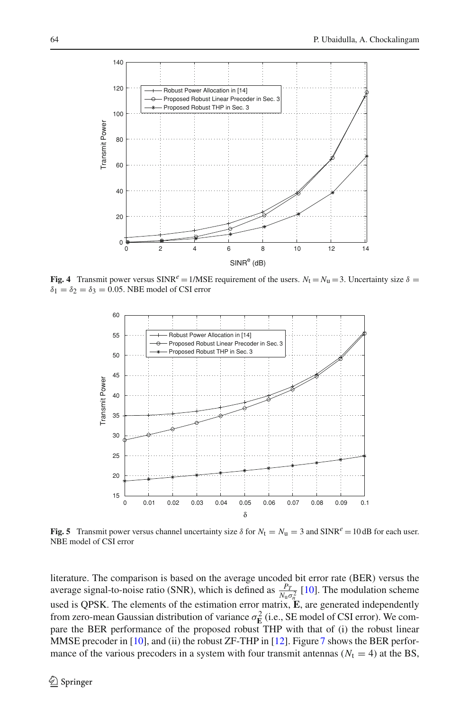

<span id="page-11-0"></span>**Fig. 4** Transmit power versus SINR<sup>e</sup> = 1/MSE requirement of the users.  $N_t = N_u = 3$ . Uncertainty size  $\delta =$  $\delta_1 = \delta_2 = \delta_3 = 0.05$ . NBE model of CSI error



<span id="page-11-1"></span>**Fig. 5** Transmit power versus channel uncertainty size  $\delta$  for  $N_t = N_u = 3$  and SINR<sup>e</sup> = 10 dB for each user. NBE model of CSI error

literature. The comparison is based on the average uncoded bit error rate (BER) versus the average signal-to-noise ratio (SNR), which is defined as  $\frac{P_T}{N_u \sigma_h^2}$  [\[10](#page-14-4)]. The modulation scheme used is QPSK. The elements of the estimation error matrix, **E**, are generated independently from zero-mean Gaussian distribution of variance  $\sigma_{\mathbf{E}}^2$  (i.e., SE model of CSI error). We compare the BER performance of the proposed robust THP with that of (i) the robust linear MMSE precoder in [\[10](#page-14-4)], and (ii) the robust ZF-THP in [\[12\]](#page-14-5). Figure [7](#page-12-1) shows the BER performance of the various precoders in a system with four transmit antennas ( $N_t = 4$ ) at the BS,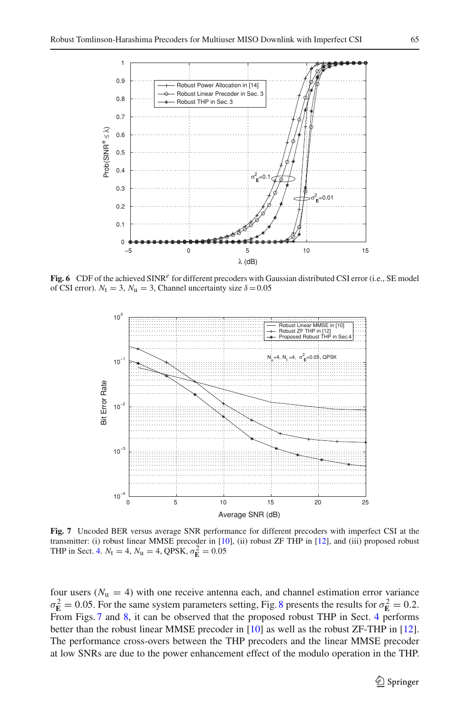

<span id="page-12-0"></span>**Fig. 6** CDF of the achieved SINR*<sup>e</sup>* for different precoders with Gaussian distributed CSI error (i.e., SE model of CSI error).  $N_t = 3$ ,  $N_u = 3$ , Channel uncertainty size  $\delta = 0.05$ 



<span id="page-12-1"></span>**Fig. 7** Uncoded BER versus average SNR performance for different precoders with imperfect CSI at the transmitter: (i) robust linear MMSE precoder in [\[10](#page-14-4)], (ii) robust ZF THP in [\[12\]](#page-14-5), and (iii) proposed robust THP in Sect. [4.](#page-7-0)  $N_t = 4$ ,  $N_u = 4$ ,  $QPSK$ ,  $\sigma_E^2 = 0.05$ 

four users  $(N<sub>u</sub> = 4)$  with one receive antenna each, and channel estimation error variance  $\sigma_{\rm E}^2 = 0.05$ . For the same system parameters setting, Fig. [8](#page-13-5) presents the results for  $\sigma_{\rm E}^2 = 0.2$ . From Figs. [7](#page-12-1) and [8,](#page-13-5) it can be observed that the proposed robust THP in Sect. [4](#page-7-0) performs better than the robust linear MMSE precoder in [\[10\]](#page-14-4) as well as the robust ZF-THP in [\[12\]](#page-14-5). The performance cross-overs between the THP precoders and the linear MMSE precoder at low SNRs are due to the power enhancement effect of the modulo operation in the THP.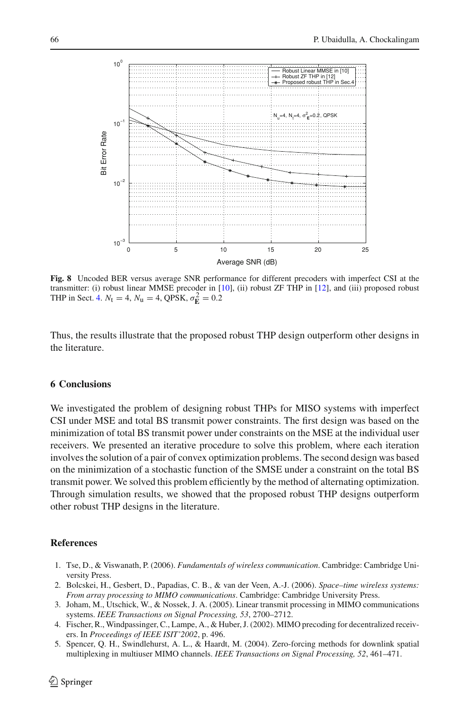

<span id="page-13-5"></span>**Fig. 8** Uncoded BER versus average SNR performance for different precoders with imperfect CSI at the transmitter: (i) robust linear MMSE precoder in [\[10](#page-14-4)], (ii) robust ZF THP in [\[12\]](#page-14-5), and (iii) proposed robust THP in Sect. [4.](#page-7-0)  $N_t = 4$ ,  $N_u = 4$ , QPSK,  $\sigma_E^2 = 0.2$ 

Thus, the results illustrate that the proposed robust THP design outperform other designs in the literature.

## <span id="page-13-4"></span>**6 Conclusions**

We investigated the problem of designing robust THPs for MISO systems with imperfect CSI under MSE and total BS transmit power constraints. The first design was based on the minimization of total BS transmit power under constraints on the MSE at the individual user receivers. We presented an iterative procedure to solve this problem, where each iteration involves the solution of a pair of convex optimization problems. The second design was based on the minimization of a stochastic function of the SMSE under a constraint on the total BS transmit power. We solved this problem efficiently by the method of alternating optimization. Through simulation results, we showed that the proposed robust THP designs outperform other robust THP designs in the literature.

#### <span id="page-13-0"></span>**References**

- 1. Tse, D., & Viswanath, P. (2006). *Fundamentals of wireless communication*. Cambridge: Cambridge University Press.
- <span id="page-13-1"></span>2. Bolcskei, H., Gesbert, D., Papadias, C. B., & van der Veen, A.-J. (2006). *Space–time wireless systems: From array processing to MIMO communications*. Cambridge: Cambridge University Press.
- 3. Joham, M., Utschick, W., & Nossek, J. A. (2005). Linear transmit processing in MIMO communications systems. *IEEE Transactions on Signal Processing, 53*, 2700–2712.
- <span id="page-13-2"></span>4. Fischer, R., Windpassinger, C., Lampe, A., & Huber, J. (2002). MIMO precoding for decentralized receivers. In *Proceedings of IEEE ISIT'2002*, p. 496.
- <span id="page-13-3"></span>5. Spencer, Q. H., Swindlehurst, A. L., & Haardt, M. (2004). Zero-forcing methods for downlink spatial multiplexing in multiuser MIMO channels. *IEEE Transactions on Signal Processing, 52*, 461–471.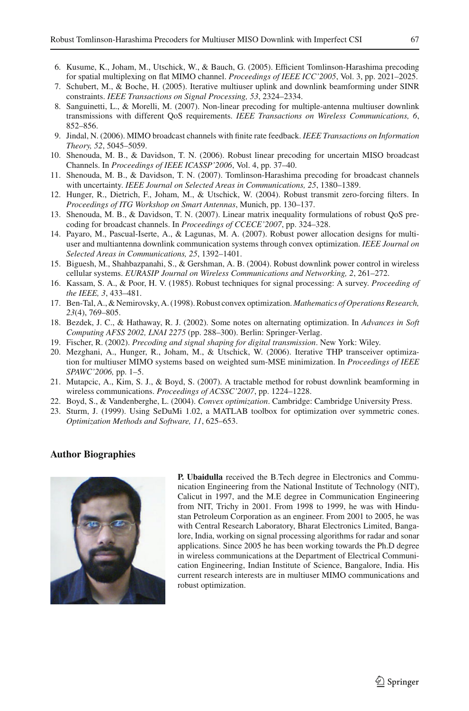- <span id="page-14-0"></span>6. Kusume, K., Joham, M., Utschick, W., & Bauch, G. (2005). Efficient Tomlinson-Harashima precoding for spatial multiplexing on flat MIMO channel. *Proceedings of IEEE ICC'2005*, Vol. 3, pp. 2021–2025.
- <span id="page-14-1"></span>7. Schubert, M., & Boche, H. (2005). Iterative multiuser uplink and downlink beamforming under SINR constraints. *IEEE Transactions on Signal Processing, 53*, 2324–2334.
- <span id="page-14-2"></span>8. Sanguinetti, L., & Morelli, M. (2007). Non-linear precoding for multiple-antenna multiuser downlink transmissions with different QoS requirements. *IEEE Transactions on Wireless Communications, 6*, 852–856.
- 9. Jindal, N. (2006). MIMO broadcast channels with finite rate feedback. *IEEE Transactions on Information Theory, 52*, 5045–5059.
- <span id="page-14-4"></span><span id="page-14-3"></span>10. Shenouda, M. B., & Davidson, T. N. (2006). Robust linear precoding for uncertain MISO broadcast Channels. In *Proceedings of IEEE ICASSP'2006*, Vol. 4, pp. 37–40.
- <span id="page-14-12"></span>11. Shenouda, M. B., & Davidson, T. N. (2007). Tomlinson-Harashima precoding for broadcast channels with uncertainty. *IEEE Journal on Selected Areas in Communications, 25*, 1380–1389.
- <span id="page-14-5"></span>12. Hunger, R., Dietrich, F., Joham, M., & Utschick, W. (2004). Robust transmit zero-forcing filters. In *Proceedings of ITG Workshop on Smart Antennas*, Munich, pp. 130–137.
- <span id="page-14-6"></span>13. Shenouda, M. B., & Davidson, T. N. (2007). Linear matrix inequality formulations of robust QoS precoding for broadcast channels. In *Proceedings of CCECE'2007*, pp. 324–328.
- <span id="page-14-7"></span>14. Payaro, M., Pascual-Iserte, A., & Lagunas, M. A. (2007). Robust power allocation designs for multiuser and multiantenna downlink communication systems through convex optimization. *IEEE Journal on Selected Areas in Communications, 25*, 1392–1401.
- <span id="page-14-8"></span>15. Biguesh, M., Shahbazpanahi, S., & Gershman, A. B. (2004). Robust downlink power control in wireless cellular systems. *EURASIP Journal on Wireless Communications and Networking, 2*, 261–272.
- <span id="page-14-9"></span>16. Kassam, S. A., & Poor, H. V. (1985). Robust techniques for signal processing: A survey. *Proceeding of the IEEE, 3*, 433–481.
- <span id="page-14-10"></span>17. Ben-Tal, A., & Nemirovsky, A. (1998). Robust convex optimization. *Mathematics of Operations Research, 23*(4), 769–805.
- <span id="page-14-11"></span>18. Bezdek, J. C., & Hathaway, R. J. (2002). Some notes on alternating optimization. In *Advances in Soft Computing AFSS 2002, LNAI 2275* (pp. 288–300). Berlin: Springer-Verlag.
- <span id="page-14-13"></span>19. Fischer, R. (2002). *Precoding and signal shaping for digital transmission*. New York: Wiley.
- <span id="page-14-14"></span>20. Mezghani, A., Hunger, R., Joham, M., & Utschick, W. (2006). Iterative THP transceiver optimization for multiuser MIMO systems based on weighted sum-MSE minimization. In *Proceedings of IEEE SPAWC'2006,* pp. 1–5.
- <span id="page-14-15"></span>21. Mutapcic, A., Kim, S. J., & Boyd, S. (2007). A tractable method for robust downlink beamforming in wireless communications. *Proceedings of ACSSC'2007*, pp. 1224–1228.
- <span id="page-14-16"></span>22. Boyd, S., & Vandenberghe, L. (2004). *Convex optimization*. Cambridge: Cambridge University Press.
- <span id="page-14-17"></span>23. Sturm, J. (1999). Using SeDuMi 1.02, a MATLAB toolbox for optimization over symmetric cones. *Optimization Methods and Software, 11*, 625–653.

## **Author Biographies**



**P. Ubaidulla** received the B.Tech degree in Electronics and Communication Engineering from the National Institute of Technology (NIT), Calicut in 1997, and the M.E degree in Communication Engineering from NIT, Trichy in 2001. From 1998 to 1999, he was with Hindustan Petroleum Corporation as an engineer. From 2001 to 2005, he was with Central Research Laboratory, Bharat Electronics Limited, Bangalore, India, working on signal processing algorithms for radar and sonar applications. Since 2005 he has been working towards the Ph.D degree in wireless communications at the Department of Electrical Communication Engineering, Indian Institute of Science, Bangalore, India. His current research interests are in multiuser MIMO communications and robust optimization.